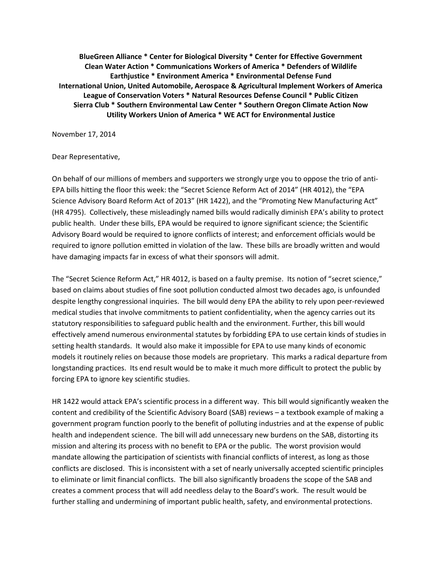**BlueGreen Alliance \* Center for Biological Diversity \* Center for Effective Government Clean Water Action \* Communications Workers of America \* Defenders of Wildlife Earthjustice \* Environment America \* Environmental Defense Fund International Union, United Automobile, Aerospace & Agricultural Implement Workers of America League of Conservation Voters \* Natural Resources Defense Council \* Public Citizen Sierra Club \* Southern Environmental Law Center \* Southern Oregon Climate Action Now Utility Workers Union of America \* WE ACT for Environmental Justice**

November 17, 2014

## Dear Representative,

On behalf of our millions of members and supporters we strongly urge you to oppose the trio of anti-EPA bills hitting the floor this week: the "Secret Science Reform Act of 2014" (HR 4012), the "EPA Science Advisory Board Reform Act of 2013" (HR 1422), and the "Promoting New Manufacturing Act" (HR 4795). Collectively, these misleadingly named bills would radically diminish EPA's ability to protect public health. Under these bills, EPA would be required to ignore significant science; the Scientific Advisory Board would be required to ignore conflicts of interest; and enforcement officials would be required to ignore pollution emitted in violation of the law. These bills are broadly written and would have damaging impacts far in excess of what their sponsors will admit.

The "Secret Science Reform Act," HR 4012, is based on a faulty premise. Its notion of "secret science," based on claims about studies of fine soot pollution conducted almost two decades ago, is unfounded despite lengthy congressional inquiries. The bill would deny EPA the ability to rely upon peer-reviewed medical studies that involve commitments to patient confidentiality, when the agency carries out its statutory responsibilities to safeguard public health and the environment. Further, this bill would effectively amend numerous environmental statutes by forbidding EPA to use certain kinds of studies in setting health standards. It would also make it impossible for EPA to use many kinds of economic models it routinely relies on because those models are proprietary. This marks a radical departure from longstanding practices. Its end result would be to make it much more difficult to protect the public by forcing EPA to ignore key scientific studies.

HR 1422 would attack EPA's scientific process in a different way. This bill would significantly weaken the content and credibility of the Scientific Advisory Board (SAB) reviews – a textbook example of making a government program function poorly to the benefit of polluting industries and at the expense of public health and independent science. The bill will add unnecessary new burdens on the SAB, distorting its mission and altering its process with no benefit to EPA or the public. The worst provision would mandate allowing the participation of scientists with financial conflicts of interest, as long as those conflicts are disclosed. This is inconsistent with a set of nearly universally accepted scientific principles to eliminate or limit financial conflicts. The bill also significantly broadens the scope of the SAB and creates a comment process that will add needless delay to the Board's work. The result would be further stalling and undermining of important public health, safety, and environmental protections.